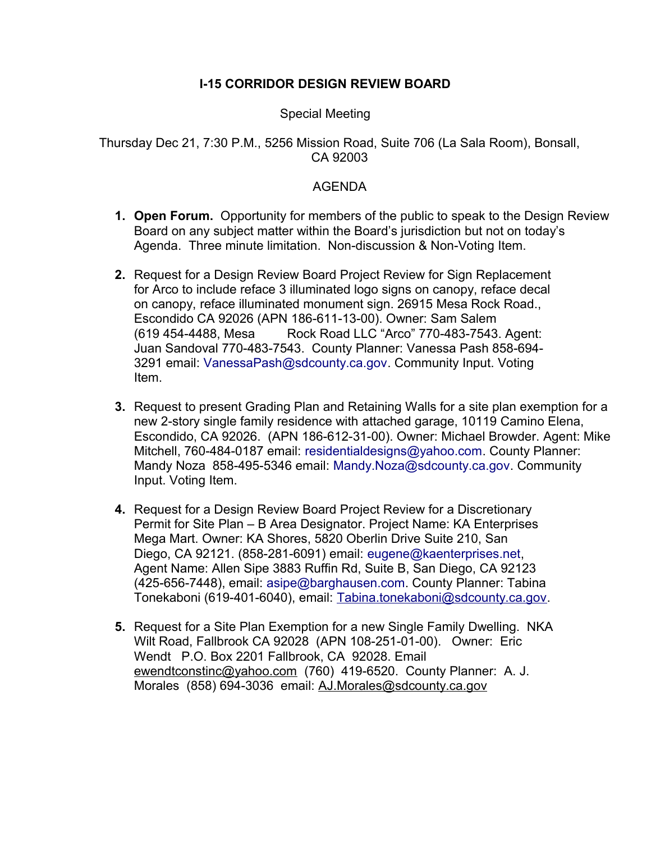## **I-15 CORRIDOR DESIGN REVIEW BOARD**

## Special Meeting

## Thursday Dec 21, 7:30 P.M., 5256 Mission Road, Suite 706 (La Sala Room), Bonsall, CA 92003

## AGENDA

- **1. Open Forum.** Opportunity for members of the public to speak to the Design Review Board on any subject matter within the Board's jurisdiction but not on today's Agenda. Three minute limitation. Non-discussion & Non-Voting Item.
- **2.** Request for a Design Review Board Project Review for Sign Replacement for Arco to include reface 3 illuminated logo signs on canopy, reface decal on canopy, reface illuminated monument sign. 26915 Mesa Rock Road., Escondido CA 92026 (APN 186-611-13-00). Owner: Sam Salem (619 454-4488, Mesa Rock Road LLC "Arco" 770-483-7543. Agent: Juan Sandoval 770-483-7543. County Planner: Vanessa Pash 858-694- 3291 email: VanessaPash@sdcounty.ca.gov. Community Input. Voting Item.
- **3.** Request to present Grading Plan and Retaining Walls for a site plan exemption for a new 2-story single family residence with attached garage, 10119 Camino Elena, Escondido, CA 92026. (APN 186-612-31-00). Owner: Michael Browder. Agent: Mike Mitchell, 760-484-0187 email: residentialdesigns@yahoo.com. County Planner: Mandy Noza 858-495-5346 email: Mandy.Noza@sdcounty.ca.gov. Community Input. Voting Item.
- **4.** Request for a Design Review Board Project Review for a Discretionary Permit for Site Plan – B Area Designator. Project Name: KA Enterprises Mega Mart. Owner: KA Shores, 5820 Oberlin Drive Suite 210, San Diego, CA 92121. (858-281-6091) email: eugene@kaenterprises.net, Agent Name: Allen Sipe 3883 Ruffin Rd, Suite B, San Diego, CA 92123 (425-656-7448), email: asipe@barghausen.com. County Planner: Tabina Tonekaboni (619-401-6040), email: [Tabina.tonekaboni@sdcounty.ca.gov.](mailto:Tabina.tonekaboni@sdcounty.ca.gov)
- **5.** Request for a Site Plan Exemption for a new Single Family Dwelling. NKA Wilt Road, Fallbrook CA 92028 (APN 108-251-01-00). Owner: Eric Wendt P.O. Box 2201 Fallbrook, CA 92028. Email [ewendtconstinc@yahoo.com](mailto:ewendtconstinc@yahoo.com) (760) 419-6520. County Planner: A. J. Morales (858) 694-3036 email: [AJ.Morales@sdcounty.ca.gov](mailto:AJ.Morales@sdcounty.ca.gov)